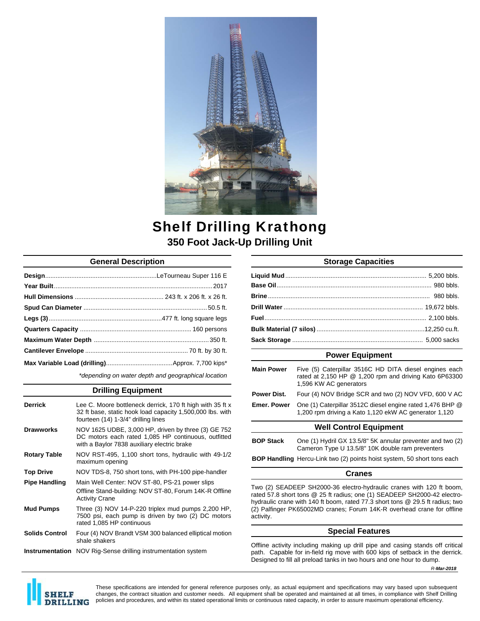

# Shelf Drilling Krathong **350 Foot Jack-Up Drilling Unit**

# **General Description**

*\*depending on water depth and geographical location* 

### **Drilling Equipment**

| <b>Derrick</b>         | Lee C. Moore bottleneck derrick, 170 ft high with 35 ft x<br>32 ft base, static hook load capacity 1,500,000 lbs. with<br>fourteen (14) 1-3/4" drilling lines |
|------------------------|---------------------------------------------------------------------------------------------------------------------------------------------------------------|
| <b>Drawworks</b>       | NOV 1625 UDBE, 3,000 HP, driven by three (3) GE 752<br>DC motors each rated 1,085 HP continuous, outfitted<br>with a Baylor 7838 auxiliary electric brake     |
| <b>Rotary Table</b>    | NOV RST-495, 1,100 short tons, hydraulic with 49-1/2<br>maximum opening                                                                                       |
| <b>Top Drive</b>       | NOV TDS-8, 750 short tons, with PH-100 pipe-handler                                                                                                           |
| <b>Pipe Handling</b>   | Main Well Center: NOV ST-80, PS-21 power slips<br>Offline Stand-building: NOV ST-80, Forum 14K-R Offline<br><b>Activity Crane</b>                             |
| <b>Mud Pumps</b>       | Three (3) NOV 14-P-220 triplex mud pumps 2,200 HP,<br>7500 psi, each pump is driven by two (2) DC motors<br>rated 1.085 HP continuous                         |
| <b>Solids Control</b>  | Four (4) NOV Brandt VSM 300 balanced elliptical motion<br>shale shakers                                                                                       |
| <b>Instrumentation</b> | NOV Rig-Sense drilling instrumentation system                                                                                                                 |

# **Storage Capacities**

## **Power Equipment**

| <b>Main Power</b>             | Five (5) Caterpillar 3516C HD DITA diesel engines each<br>rated at 2,150 HP @ 1,200 rpm and driving Kato 6P63300<br>1,596 KW AC generators |  |
|-------------------------------|--------------------------------------------------------------------------------------------------------------------------------------------|--|
| Power Dist.                   | Four (4) NOV Bridge SCR and two (2) NOV VFD, 600 V AC                                                                                      |  |
| <b>Emer, Power</b>            | One (1) Caterpillar 3512C diesel engine rated 1,476 BHP @<br>1,200 rpm driving a Kato 1,120 ekW AC generator 1,120                         |  |
| <b>Well Control Equipment</b> |                                                                                                                                            |  |

## **BOP Stack** One (1) Hydril GX 13.5/8" 5K annular preventer and two (2) Cameron Type U 13.5/8" 10K double ram preventers

**BOP Handling** Hercu-Link two (2) points hoist system, 50 short tons each

#### **Cranes**

Two (2) SEADEEP SH2000-36 electro-hydraulic cranes with 120 ft boom, rated 57.8 short tons @ 25 ft radius; one (1) SEADEEP SH2000-42 electrohydraulic crane with 140 ft boom, rated 77.3 short tons @ 29.5 ft radius; two (2) Palfinger PK65002MD cranes; Forum 14K-R overhead crane for offline activity.

#### **Special Features**

Offline activity including making up drill pipe and casing stands off critical path. Capable for in-field rig move with 600 kips of setback in the derrick. Designed to fill all preload tanks in two hours and one hour to dump.





These specifications are intended for general reference purposes only, as actual equipment and specifications may vary based upon subsequent changes, the contract situation and customer needs. All equipment shall be operated and maintained at all times, in compliance with Shelf Drilling policies and procedures, and within its stated operational limits or continuous rated capacity, in order to assure maximum operational efficiency.